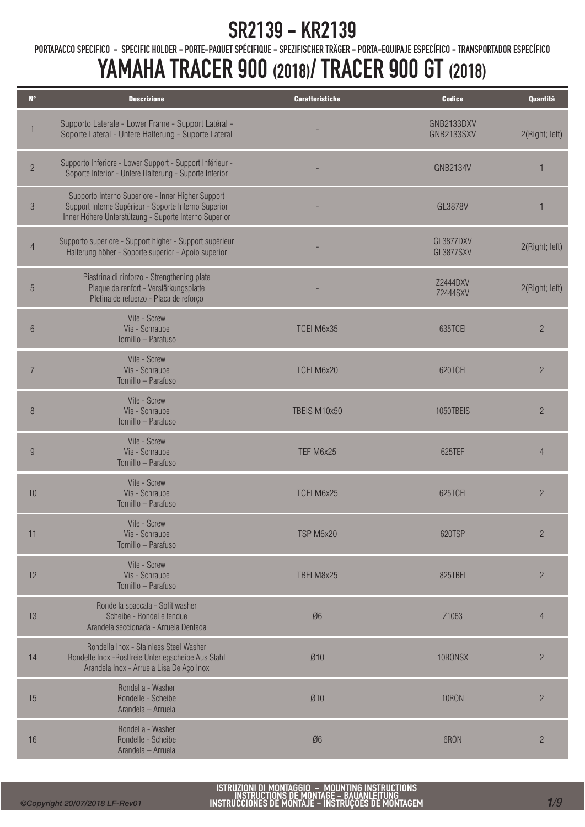PORTAPACCO SPECIFICO - SPECIFIC HOLDER - PORTE-PAQUET SPÉCIFIQUE - SPEZIFISCHER TRÄGER - PORTA-EQUIPAJE ESPECÍFICO - TRANSPORTADOR ESPECÍFICO

| $N^{\circ}$    | <b>Descrizione</b>                                                                                                                                                 | <b>Caratteristiche</b> | <b>Codice</b>               | <b>Quantità</b> |
|----------------|--------------------------------------------------------------------------------------------------------------------------------------------------------------------|------------------------|-----------------------------|-----------------|
|                | Supporto Laterale - Lower Frame - Support Latéral -<br>Soporte Lateral - Untere Halterung - Suporte Lateral                                                        |                        | GNB2133DXV<br>GNB2133SXV    | 2(Right; left)  |
| $\overline{c}$ | Supporto Inferiore - Lower Support - Support Inférieur -<br>Soporte Inferior - Untere Halterung - Suporte Inferior                                                 |                        | <b>GNB2134V</b>             |                 |
| $\sqrt{3}$     | Supporto Interno Superiore - Inner Higher Support<br>Support Interne Supérieur - Soporte Interno Superior<br>Inner Höhere Unterstützung - Suporte Interno Superior |                        | GL3878V                     |                 |
| $\overline{4}$ | Supporto superiore - Support higher - Support supérieur<br>Halterung höher - Soporte superior - Apoio superior                                                     |                        | GL3877DXV<br>GL3877SXV      | 2(Right; left)  |
| 5              | Piastrina di rinforzo - Strengthening plate<br>Plaque de renfort - Verstärkungsplatte<br>Pletina de refuerzo - Placa de reforço                                    |                        | Z2444DXV<br><b>Z2444SXV</b> | 2(Right; left)  |
| 6              | Vite - Screw<br>Vis - Schraube<br>Tornillo - Parafuso                                                                                                              | TCEI M6x35             | 635TCEI                     | $\overline{2}$  |
| $\overline{7}$ | Vite - Screw<br>Vis - Schraube<br>Tornillo - Parafuso                                                                                                              | TCEI M6x20             | 620TCEI                     | $\overline{c}$  |
| 8              | Vite - Screw<br>Vis - Schraube<br>Tornillo - Parafuso                                                                                                              | TBEIS M10x50           | 1050TBEIS                   | $\overline{2}$  |
| 9              | Vite - Screw<br>Vis - Schraube<br>Tornillo - Parafuso                                                                                                              | TEF M6x25              | 625TEF                      | $\overline{4}$  |
| 10             | Vite - Screw<br>Vis - Schraube<br>Tornillo - Parafuso                                                                                                              | TCEI M6x25             | 625TCEI                     | $\overline{2}$  |
| 11             | Vite - Screw<br>Vis - Schraube<br>Tornillo - Parafuso                                                                                                              | TSP M6x20              | 620TSP                      | $\overline{c}$  |
| 12             | Vite - Screw<br>Vis - Schraube<br>Tornillo - Parafuso                                                                                                              | TBEI M8x25             | 825TBEI                     | $\overline{c}$  |
| 13             | Rondella spaccata - Split washer<br>Scheibe - Rondelle fendue<br>Arandela seccionada - Arruela Dentada                                                             | Ø6                     | Z1063                       | $\overline{4}$  |
| 14             | Rondella Inox - Stainless Steel Washer<br>Rondelle Inox - Rostfreie Unterlegscheibe Aus Stahl<br>Arandela Inox - Arruela Lisa De Aço Inox                          | Ø10                    | 10RONSX                     | $\overline{c}$  |
| 15             | Rondella - Washer<br>Rondelle - Scheibe<br>Arandela - Arruela                                                                                                      | Ø10                    | <b>10RON</b>                | $\overline{c}$  |
| $16$           | Rondella - Washer<br>Rondelle - Scheibe<br>Arandela - Arruela                                                                                                      | Ø6                     | 6RON                        | $\overline{c}$  |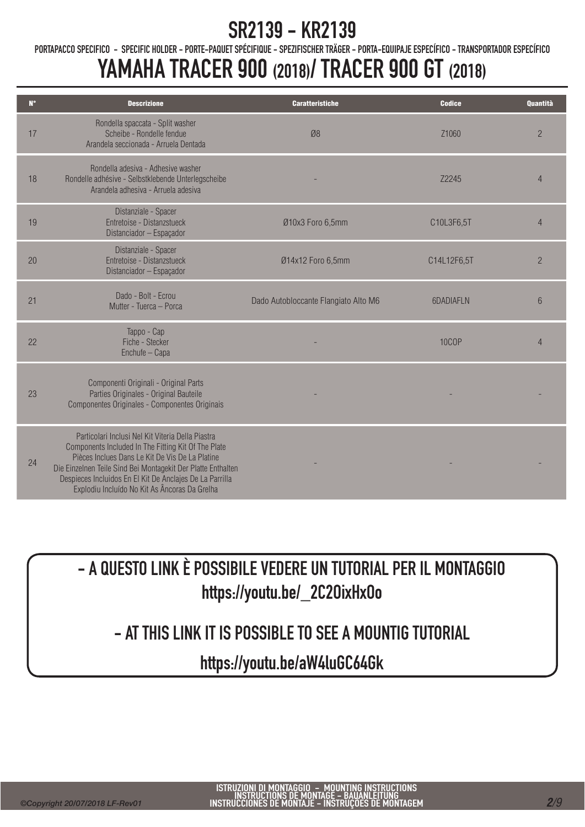PORTAPACCO SPECIFICO - SPECIFIC HOLDER - PORTE-PAQUET SPÉCIFIQUE - SPEZIFISCHER TRÄGER - PORTA-EQUIPAJE ESPECÍFICO - TRANSPORTADOR ESPECÍFICO

# YAMAHA TRACER 900 (2018)/ TRACER 900 GT (2018)

| $\mathbf{N}^{\bullet}$ | <b>Descrizione</b>                                                                                                                                                                                                                                                                                                                       | <b>Caratteristiche</b>               | <b>Codice</b>    | <b>Quantità</b> |
|------------------------|------------------------------------------------------------------------------------------------------------------------------------------------------------------------------------------------------------------------------------------------------------------------------------------------------------------------------------------|--------------------------------------|------------------|-----------------|
| 17                     | Rondella spaccata - Split washer<br>Scheibe - Rondelle fendue<br>Arandela seccionada - Arruela Dentada                                                                                                                                                                                                                                   | Ø8                                   | Z1060            | $\overline{c}$  |
| 18                     | Rondella adesiva - Adhesive washer<br>Rondelle adhésive - Selbstklebende Unterlegscheibe<br>Arandela adhesiya - Arruela adesiya                                                                                                                                                                                                          |                                      | Z2245            | $\overline{4}$  |
| 19                     | Distanziale - Spacer<br>Entretoise - Distanzstueck<br>Distanciador - Espaçador                                                                                                                                                                                                                                                           | Ø10x3 Foro 6,5mm                     | C10L3F6,5T       | $\overline{4}$  |
| 20                     | Distanziale - Spacer<br>Entretoise - Distanzstueck<br>Distanciador - Espaçador                                                                                                                                                                                                                                                           | Ø14x12 Foro 6,5mm                    | C14L12F6,5T      | $\overline{2}$  |
| 21                     | Dado - Bolt - Ecrou<br>Mutter - Tuerca - Porca                                                                                                                                                                                                                                                                                           | Dado Autobloccante Flangiato Alto M6 | <b>6DADIAFLN</b> | $6\phantom{.}6$ |
| 22                     | Tappo - Cap<br>Fiche - Stecker<br>Enchufe - Capa                                                                                                                                                                                                                                                                                         |                                      | <b>10COP</b>     | $\overline{4}$  |
| 23                     | Componenti Originali - Original Parts<br>Parties Originales - Original Bauteile<br>Componentes Originales - Componentes Originais                                                                                                                                                                                                        |                                      |                  |                 |
| 24                     | Particolari Inclusi Nel Kit Viteria Della Piastra<br>Components Included In The Fitting Kit Of The Plate<br>Pièces Inclues Dans Le Kit De Vis De La Platine<br>Die Einzelnen Teile Sind Bei Montagekit Der Platte Enthalten<br>Despieces Incluidos En El Kit De Anclajes De La Parrilla<br>Explodiu Incluído No Kit As Âncoras Da Grelha |                                      |                  |                 |

- A QUESTO LINK È POSSIBILE VEDERE UN TUTORIAL PER IL MONTAGGIO https://youtu.be/\_2C2OixHxOo

#### - AT THIS LINK IT IS POSSIBLE TO SEE A MOUNTIG TUTORIAL

https://youtu.be/aW4luGC64Gk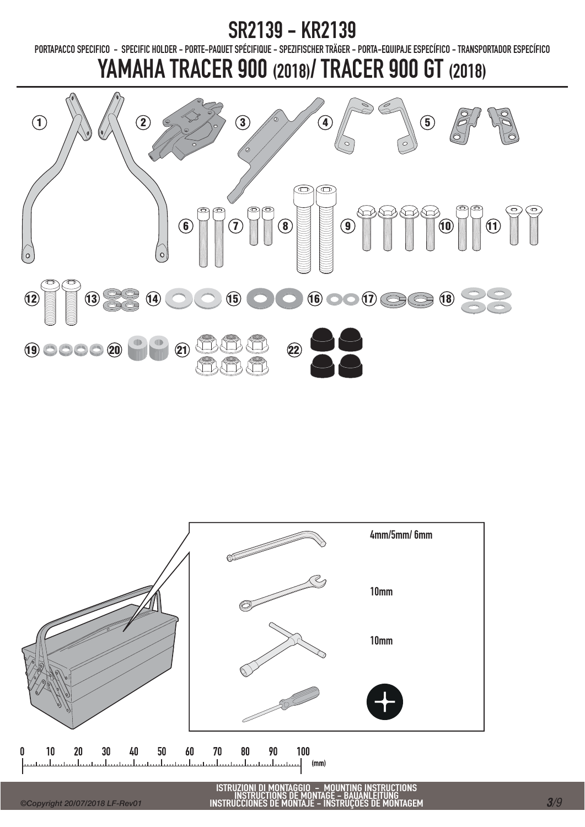PORTAPACCO SPECIFICO - SPECIFIC HOLDER - PORTE-PAQUET SPÉCIFIQUE - SPEZIFISCHER TRÄGER - PORTA-EQUIPAJE ESPECÍFICO - TRANSPORTADOR ESPECÍFICO

# YAMAHA TRACER 900 (2018)/ TRACER 900 GT (2018)





ISTRUZIONI DI MONTAGGIO – MOUNTING INSTRUCTIONS<br>INSTRUCTIONS DE MONTAGE – BAUANLEITUNG<br>INSTRUCCIONES DE MONTAJE – INSTRUÇÕES DE MONTAGEM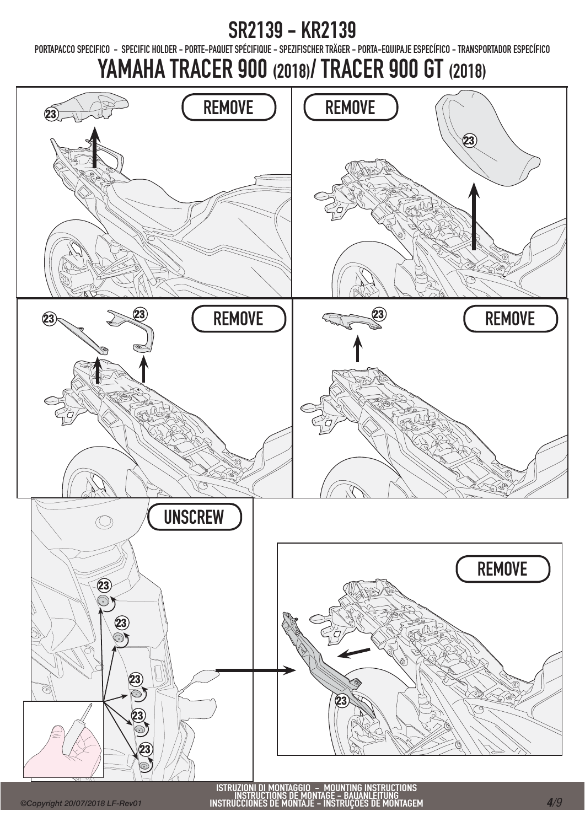PORTAPACCO SPECIFICO - SPECIFIC HOLDER - PORTE-PAQUET SPÉCIFIQUE - SPEZIFISCHER TRÄGER - PORTA-EQUIPAJE ESPECÍFICO - TRANSPORTADOR ESPECÍFICO

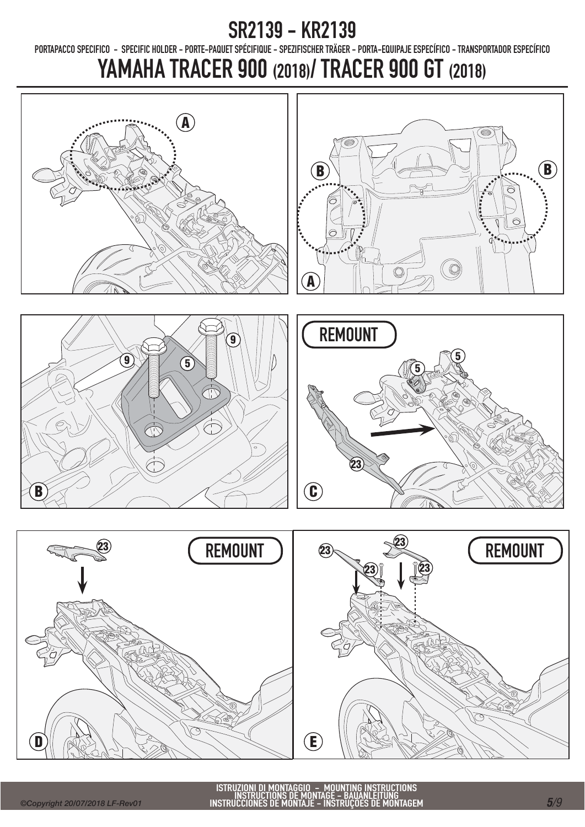PORTAPACCO SPECIFICO - SPECIFIC HOLDER - PORTE-PAQUET SPÉCIFIQUE - SPEZIFISCHER TRÄGER - PORTA-EQUIPAJE ESPECÍFICO - TRANSPORTADOR ESPECÍFICO











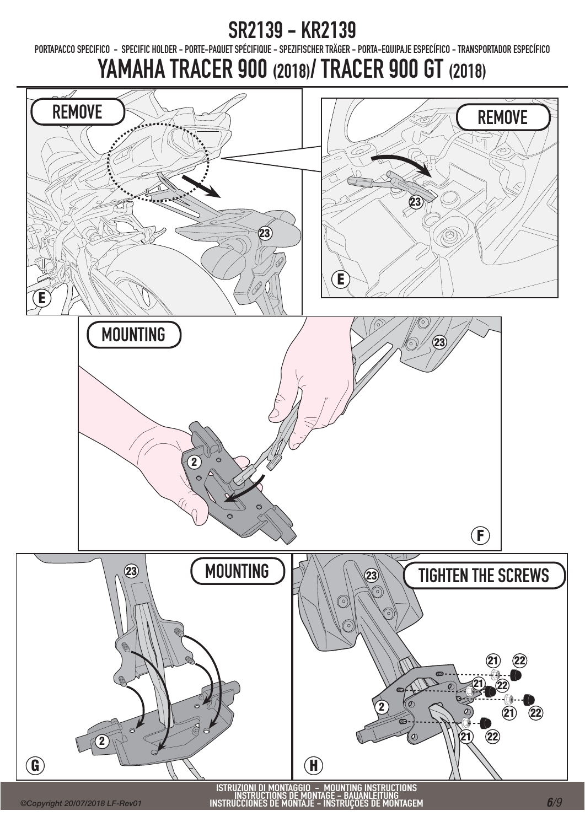PORTAPACCO SPECIFICO - SPECIFIC HOLDER - PORTE-PAQUET SPÉCIFIQUE - SPEZIFISCHER TRÄGER - PORTA-EQUIPAJE ESPECÍFICO - TRANSPORTADOR ESPECÍFICO

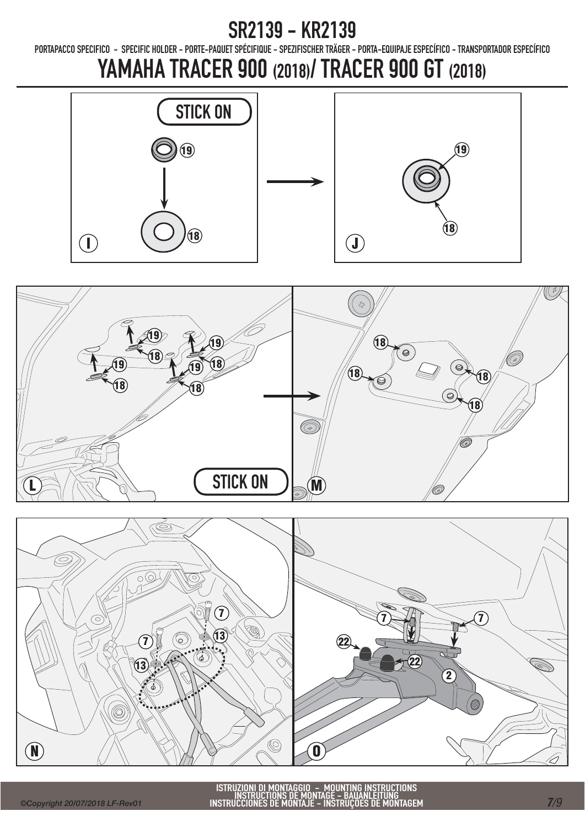PORTAPACCO SPECIFICO - SPECIFIC HOLDER - PORTE-PAQUET SPÉCIFIQUE - SPEZIFISCHER TRÄGER - PORTA-EQUIPAJE ESPECÍFICO - TRANSPORTADOR ESPECÍFICO





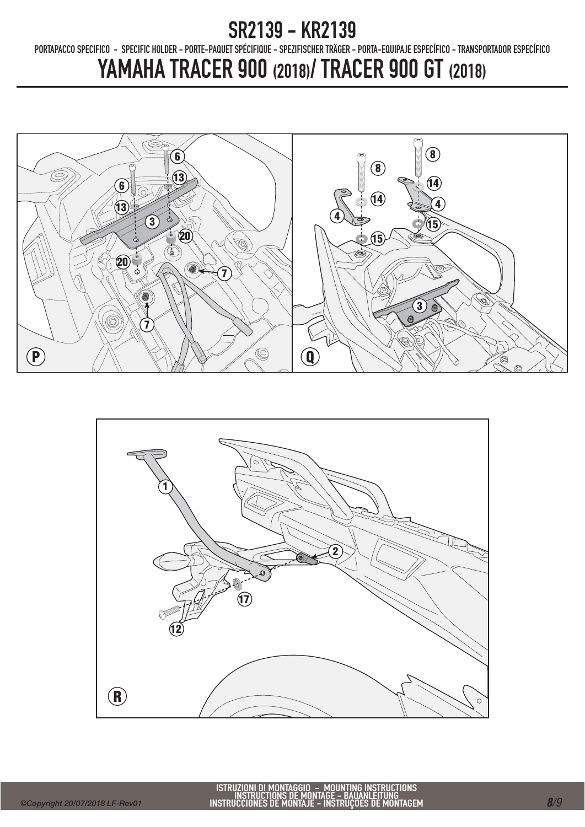PORTAPACCO SPECIFICO - SPECIFIC HOLDER - PORTE-PAQUET SPÉCIFIQUE - SPEZIFISCHER TRÄGER - PORTA-EQUIPAJE ESPECÍFICO - TRANSPORTADOR ESPECÍFICO